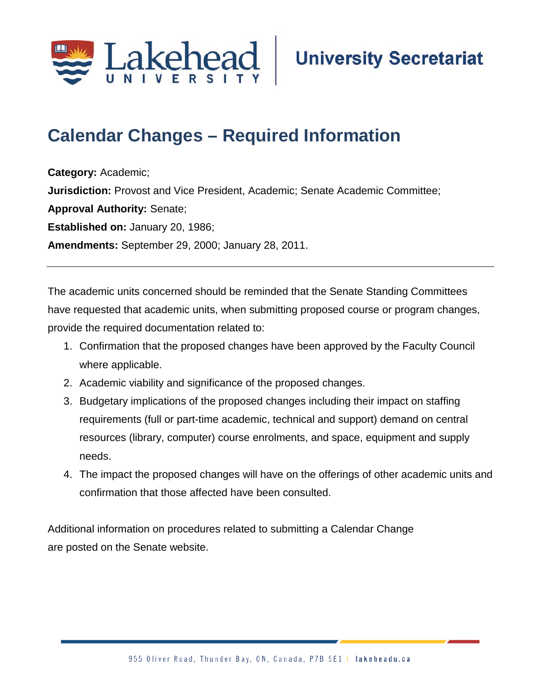

## **Calendar Changes – Required Information**

**Category:** Academic; **Jurisdiction:** Provost and Vice President, Academic; Senate Academic Committee; **Approval Authority:** Senate; **Established on:** January 20, 1986; **Amendments:** September 29, 2000; January 28, 2011.

The academic units concerned should be reminded that the Senate Standing Committees have requested that academic units, when submitting proposed course or program changes, provide the required documentation related to:

- 1. Confirmation that the proposed changes have been approved by the Faculty Council where applicable.
- 2. Academic viability and significance of the proposed changes.
- 3. Budgetary implications of the proposed changes including their impact on staffing requirements (full or part-time academic, technical and support) demand on central resources (library, computer) course enrolments, and space, equipment and supply needs.
- 4. The impact the proposed changes will have on the offerings of other academic units and confirmation that those affected have been consulted.

Additional information on procedures related to submitting a Calendar Change are posted on the Senate website.